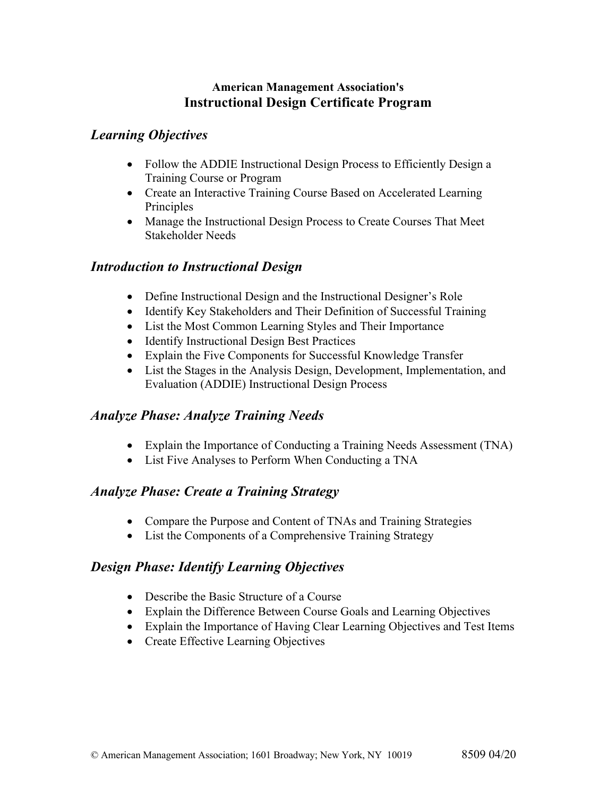#### **American Management Association's Instructional Design Certificate Program**

### *Learning Objectives*

- Follow the ADDIE Instructional Design Process to Efficiently Design a Training Course or Program
- Create an Interactive Training Course Based on Accelerated Learning Principles
- Manage the Instructional Design Process to Create Courses That Meet Stakeholder Needs

#### *Introduction to Instructional Design*

- Define Instructional Design and the Instructional Designer's Role
- Identify Key Stakeholders and Their Definition of Successful Training
- List the Most Common Learning Styles and Their Importance
- Identify Instructional Design Best Practices
- Explain the Five Components for Successful Knowledge Transfer
- List the Stages in the Analysis Design, Development, Implementation, and Evaluation (ADDIE) Instructional Design Process

#### *Analyze Phase: Analyze Training Needs*

- Explain the Importance of Conducting a Training Needs Assessment (TNA)
- List Five Analyses to Perform When Conducting a TNA

# *Analyze Phase: Create a Training Strategy*

- Compare the Purpose and Content of TNAs and Training Strategies
- List the Components of a Comprehensive Training Strategy

# *Design Phase: Identify Learning Objectives*

- Describe the Basic Structure of a Course
- Explain the Difference Between Course Goals and Learning Objectives
- Explain the Importance of Having Clear Learning Objectives and Test Items
- Create Effective Learning Objectives